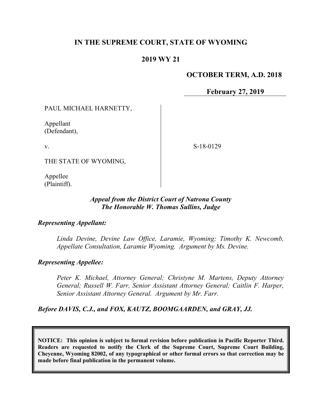## **IN THE SUPREME COURT, STATE OF WYOMING**

## **2019 WY 21**

#### **OCTOBER TERM, A.D. 2018**

**February 27, 2019**

PAUL MICHAEL HARNETTY,

Appellant (Defendant),

v.

S-18-0129

THE STATE OF WYOMING,

Appellee (Plaintiff).

### *Appeal from the District Court of Natrona County The Honorable W. Thomas Sullins, Judge*

#### *Representing Appellant:*

*Linda Devine, Devine Law Office, Laramie, Wyoming; Timothy K. Newcomb, Appellate Consultation, Laramie Wyoming. Argument by Ms. Devine.*

#### *Representing Appellee:*

*Peter K. Michael, Attorney General; Christyne M. Martens, Deputy Attorney General; Russell W. Farr, Senior Assistant Attorney General; Caitlin F. Harper, Senior Assistant Attorney General. Argument by Mr. Farr.*

*Before DAVIS, C.J., and FOX, KAUTZ, BOOMGAARDEN, and GRAY, JJ.*

**NOTICE: This opinion is subject to formal revision before publication in Pacific Reporter Third. Readers are requested to notify the Clerk of the Supreme Court, Supreme Court Building, Cheyenne, Wyoming 82002, of any typographical or other formal errors so that correction may be made before final publication in the permanent volume.**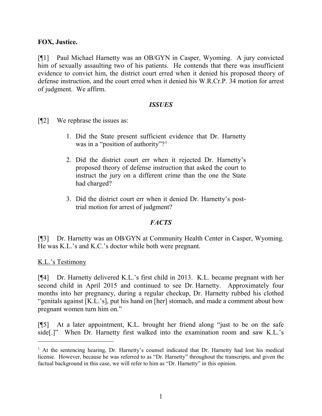### **FOX, Justice.**

[¶1] Paul Michael Harnetty was an OB/GYN in Casper, Wyoming. A jury convicted him of sexually assaulting two of his patients. He contends that there was insufficient evidence to convict him, the district court erred when it denied his proposed theory of defense instruction, and the court erred when it denied his W.R.Cr.P. 34 motion for arrest of judgment. We affirm.

#### *ISSUES*

[¶2] We rephrase the issues as:

- 1. Did the State present sufficient evidence that Dr. Harnetty was in a "position of authority"?<sup>[1](#page-1-0)</sup>
- 2. Did the district court err when it rejected Dr. Harnetty's proposed theory of defense instruction that asked the court to instruct the jury on a different crime than the one the State had charged?
- 3. Did the district court err when it denied Dr. Harnetty's posttrial motion for arrest of judgment?

## *FACTS*

[¶3] Dr. Harnetty was an OB/GYN at Community Health Center in Casper, Wyoming. He was K.L.'s and K.C.'s doctor while both were pregnant.

K.L.'s Testimony

[¶4] Dr. Harnetty delivered K.L.'s first child in 2013. K.L. became pregnant with her second child in April 2015 and continued to see Dr. Harnetty. Approximately four months into her pregnancy, during a regular checkup, Dr. Harnetty rubbed his clothed "genitals against [K.L.'s], put his hand on [her] stomach, and made a comment about how pregnant women turn him on."

[¶5] At a later appointment, K.L. brought her friend along "just to be on the safe side[.]" When Dr. Harnetty first walked into the examination room and saw K.L.'s

<span id="page-1-0"></span><sup>&</sup>lt;sup>1</sup> At the sentencing hearing, Dr. Harnetty's counsel indicated that Dr. Harnetty had lost his medical license. However, because he was referred to as "Dr. Harnetty" throughout the transcripts, and given the factual background in this case, we will refer to him as "Dr. Harnetty" in this opinion.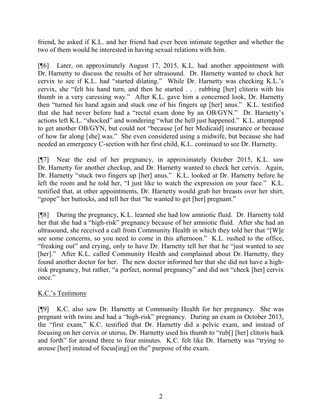friend, he asked if K.L. and her friend had ever been intimate together and whether the two of them would be interested in having sexual relations with him.

[¶6] Later, on approximately August 17, 2015, K.L. had another appointment with Dr. Harnetty to discuss the results of her ultrasound. Dr. Harnetty wanted to check her cervix to see if K.L. had "started dilating." While Dr. Harnetty was checking K.L.'s cervix, she "felt his hand turn, and then he started . . . rubbing [her] clitoris with his thumb in a very caressing way." After K.L. gave him a concerned look, Dr. Harnetty then "turned his hand again and stuck one of his fingers up [her] anus." K.L. testified that she had never before had a "rectal exam done by an OB/GYN." Dr. Harnetty's actions left K.L. "shocked" and wondering "what the hell just happened." K.L. attempted to get another OB/GYN, but could not "because [of her Medicaid] insurance or because of how far along [she] was." She even considered using a midwife, but because she had needed an emergency C-section with her first child, K.L. continued to see Dr. Harnetty.

[¶7] Near the end of her pregnancy, in approximately October 2015, K.L. saw Dr. Harnetty for another checkup, and Dr. Harnetty wanted to check her cervix. Again, Dr. Harnetty "stuck two fingers up [her] anus." K.L. looked at Dr. Harnetty before he left the room and he told her, "I just like to watch the expression on your face." K.L. testified that, at other appointments, Dr. Harnetty would grab her breasts over her shirt, "grope" her buttocks, and tell her that "he wanted to get [her] pregnant."

[¶8] During the pregnancy, K.L. learned she had low amniotic fluid. Dr. Harnetty told her that she had a "high-risk" pregnancy because of her amniotic fluid. After she had an ultrasound, she received a call from Community Health in which they told her that "[W]e see some concerns, so you need to come in this afternoon." K.L. rushed to the office, "freaking out" and crying, only to have Dr. Harnetty tell her that he "just wanted to see [her]." After K.L. called Community Health and complained about Dr. Harnetty, they found another doctor for her. The new doctor informed her that she did not have a highrisk pregnancy, but rather, "a perfect, normal pregnancy" and did not "check [her] cervix once."

# K.C.'s Testimony

[¶9] K.C. also saw Dr. Harnetty at Community Health for her pregnancy. She was pregnant with twins and had a "high-risk" pregnancy. During an exam in October 2013, the "first exam," K.C. testified that Dr. Harnetty did a pelvic exam, and instead of focusing on her cervix or uterus, Dr. Harnetty used his thumb to "rub[] [her] clitoris back and forth" for around three to four minutes. K.C. felt like Dr. Harnetty was "trying to arouse [her] instead of focus[ing] on the" purpose of the exam.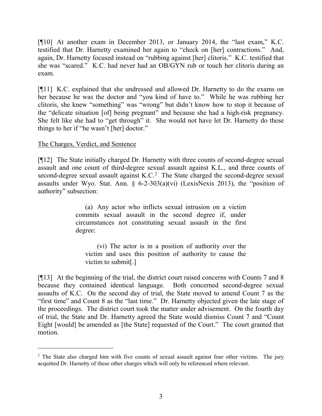[¶10] At another exam in December 2013, or January 2014, the "last exam," K.C. testified that Dr. Harnetty examined her again to "check on [her] contractions." And, again, Dr. Harnetty focused instead on "rubbing against [her] clitoris." K.C. testified that she was "scared." K.C. had never had an OB/GYN rub or touch her clitoris during an exam.

[¶11] K.C. explained that she undressed and allowed Dr. Harnetty to do the exams on her because he was the doctor and "you kind of have to." While he was rubbing her clitoris, she knew "something" was "wrong" but didn't know how to stop it because of the "delicate situation [of] being pregnant" and because she had a high-risk pregnancy. She felt like she had to "get through" it. She would not have let Dr. Harnetty do these things to her if "he wasn't [her] doctor."

### The Charges, Verdict, and Sentence

[¶12] The State initially charged Dr. Harnetty with three counts of second-degree sexual assault and one count of third-degree sexual assault against K.L., and three counts of second-degree sexual assault against  $K.C.^2$  $K.C.^2$  The State charged the second-degree sexual assaults under Wyo. Stat. Ann. § 6-2-303(a)(vi) (LexisNexis 2013), the "position of authority" subsection:

> (a) Any actor who inflicts sexual intrusion on a victim commits sexual assault in the second degree if, under circumstances not constituting sexual assault in the first degree:

(vi) The actor is in a position of authority over the victim and uses this position of authority to cause the victim to submit[.]

[¶13] At the beginning of the trial, the district court raised concerns with Counts 7 and 8 because they contained identical language. Both concerned second-degree sexual assaults of K.C. On the second day of trial, the State moved to amend Count 7 as the "first time" and Count 8 as the "last time." Dr. Harnetty objected given the late stage of the proceedings. The district court took the matter under advisement. On the fourth day of trial, the State and Dr. Harnetty agreed the State would dismiss Count 7 and "Count Eight [would] be amended as [the State] requested of the Court." The court granted that motion.

<span id="page-3-0"></span><sup>&</sup>lt;sup>2</sup> The State also charged him with five counts of sexual assault against four other victims. The jury acquitted Dr. Harnetty of these other charges which will only be referenced where relevant.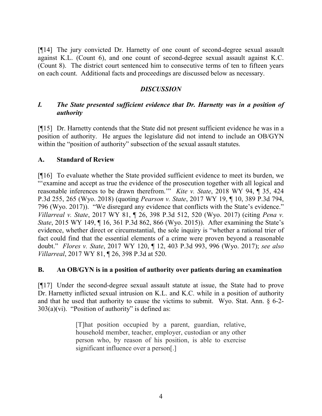[¶14] The jury convicted Dr. Harnetty of one count of second-degree sexual assault against K.L. (Count 6), and one count of second-degree sexual assault against K.C. (Count 8). The district court sentenced him to consecutive terms of ten to fifteen years on each count. Additional facts and proceedings are discussed below as necessary.

## *DISCUSSION*

## *I. The State presented sufficient evidence that Dr. Harnetty was in a position of authority*

[¶15] Dr. Harnetty contends that the State did not present sufficient evidence he was in a position of authority. He argues the legislature did not intend to include an OB/GYN within the "position of authority" subsection of the sexual assault statutes.

## **A. Standard of Review**

[¶16] To evaluate whether the State provided sufficient evidence to meet its burden, we "'examine and accept as true the evidence of the prosecution together with all logical and reasonable inferences to be drawn therefrom.'" *Kite v. State*, 2018 WY 94, ¶ 35, 424 P.3d 255, 265 (Wyo. 2018) (quoting *Pearson v. State*, 2017 WY 19, ¶ 10, 389 P.3d 794, 796 (Wyo. 2017)). "We disregard any evidence that conflicts with the State's evidence." *Villarreal v. State*, 2017 WY 81, ¶ 26, 398 P.3d 512, 520 (Wyo. 2017) (citing *Pena v. State*, 2015 WY 149, ¶ 16, 361 P.3d 862, 866 (Wyo. 2015)). After examining the State's evidence, whether direct or circumstantial, the sole inquiry is "whether a rational trier of fact could find that the essential elements of a crime were proven beyond a reasonable doubt." *Flores v. State*, 2017 WY 120, ¶ 12, 403 P.3d 993, 996 (Wyo. 2017); *see also Villarreal*, 2017 WY 81, ¶ 26, 398 P.3d at 520.

## **B. An OB/GYN is in a position of authority over patients during an examination**

[¶17] Under the second-degree sexual assault statute at issue, the State had to prove Dr. Harnetty inflicted sexual intrusion on K.L. and K.C. while in a position of authority and that he used that authority to cause the victims to submit. Wyo. Stat. Ann. § 6-2-  $303(a)(vi)$ . "Position of authority" is defined as:

> [T]hat position occupied by a parent, guardian, relative, household member, teacher, employer, custodian or any other person who, by reason of his position, is able to exercise significant influence over a person[.]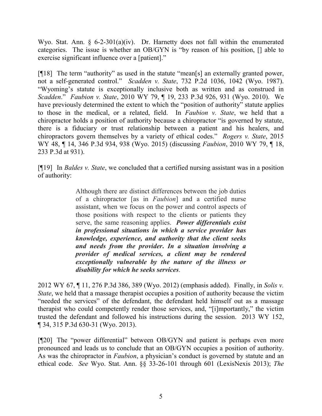Wyo. Stat. Ann. § 6-2-301(a)(iv). Dr. Harnetty does not fall within the enumerated categories. The issue is whether an OB/GYN is "by reason of his position, [] able to exercise significant influence over a [patient]."

[¶18] The term "authority" as used in the statute "mean[s] an externally granted power, not a self-generated control." *Scadden v. State*, 732 P.2d 1036, 1042 (Wyo. 1987). "Wyoming's statute is exceptionally inclusive both as written and as construed in *Scadden*." *Faubion v. State*, 2010 WY 79, ¶ 19, 233 P.3d 926, 931 (Wyo. 2010). We have previously determined the extent to which the "position of authority" statute applies to those in the medical, or a related, field. In *Faubion v. State*, we held that a chiropractor holds a position of authority because a chiropractor "is governed by statute, there is a fiduciary or trust relationship between a patient and his healers, and chiropractors govern themselves by a variety of ethical codes." *Rogers v. State*, 2015 WY 48, ¶ 14, 346 P.3d 934, 938 (Wyo. 2015) (discussing *Faubion*, 2010 WY 79, ¶ 18, 233 P.3d at 931).

[¶19] In *Baldes v. State*, we concluded that a certified nursing assistant was in a position of authority:

> Although there are distinct differences between the job duties of a chiropractor [as in *Faubion*] and a certified nurse assistant, when we focus on the power and control aspects of those positions with respect to the clients or patients they serve, the same reasoning applies. *Power differentials exist in professional situations in which a service provider has knowledge, experience, and authority that the client seeks and needs from the provider***.** *In a situation involving a provider of medical services, a client may be rendered exceptionally vulnerable by the nature of the illness or disability for which he seeks services*.

2012 WY 67, ¶ 11, 276 P.3d 386, 389 (Wyo. 2012) (emphasis added). Finally, in *Solis v. State*, we held that a massage therapist occupies a position of authority because the victim "needed the services" of the defendant, the defendant held himself out as a massage therapist who could competently render those services, and, "[i]mportantly," the victim trusted the defendant and followed his instructions during the session. 2013 WY 152, ¶ 34, 315 P.3d 630-31 (Wyo. 2013).

[¶20] The "power differential" between OB/GYN and patient is perhaps even more pronounced and leads us to conclude that an OB/GYN occupies a position of authority. As was the chiropractor in *Faubion*, a physician's conduct is governed by statute and an ethical code. *See* Wyo. Stat. Ann. §§ 33-26-101 through 601 (LexisNexis 2013); *The*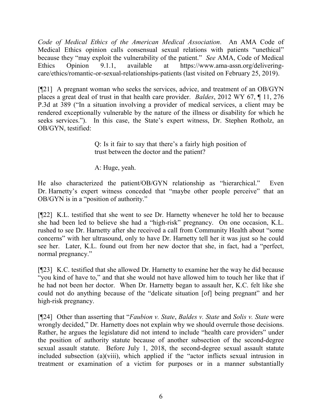*Code of Medical Ethics of the American Medical Association*. An AMA Code of Medical Ethics opinion calls consensual sexual relations with patients "unethical" because they "may exploit the vulnerability of the patient." *See* AMA, Code of Medical Ethics Opinion 9.1.1, available at https://www.ama-assn.org/deliveringcare/ethics/romantic-or-sexual-relationships-patients (last visited on February 25, 2019).

[¶21] A pregnant woman who seeks the services, advice, and treatment of an OB/GYN places a great deal of trust in that health care provider. *Baldes*, 2012 WY 67, ¶ 11, 276 P.3d at 389 ("In a situation involving a provider of medical services, a client may be rendered exceptionally vulnerable by the nature of the illness or disability for which he seeks services."). In this case, the State's expert witness, Dr. Stephen Rotholz, an OB/GYN, testified:

> Q: Is it fair to say that there's a fairly high position of trust between the doctor and the patient?

A: Huge, yeah.

He also characterized the patient/OB/GYN relationship as "hierarchical." Even Dr. Harnetty's expert witness conceded that "maybe other people perceive" that an OB/GYN is in a "position of authority."

[¶22] K.L. testified that she went to see Dr. Harnetty whenever he told her to because she had been led to believe she had a "high-risk" pregnancy. On one occasion, K.L. rushed to see Dr. Harnetty after she received a call from Community Health about "some concerns" with her ultrasound, only to have Dr. Harnetty tell her it was just so he could see her. Later, K.L. found out from her new doctor that she, in fact, had a "perfect, normal pregnancy."

[¶23] K.C. testified that she allowed Dr. Harnetty to examine her the way he did because "you kind of have to," and that she would not have allowed him to touch her like that if he had not been her doctor. When Dr. Harnetty began to assault her, K.C. felt like she could not do anything because of the "delicate situation [of] being pregnant" and her high-risk pregnancy.

[¶24] Other than asserting that "*Faubion v. State*, *Baldes v. State* and *Solis v. State* were wrongly decided," Dr. Harnetty does not explain why we should overrule those decisions. Rather, he argues the legislature did not intend to include "health care providers" under the position of authority statute because of another subsection of the second-degree sexual assault statute. Before July 1, 2018, the second-degree sexual assault statute included subsection (a)(viii), which applied if the "actor inflicts sexual intrusion in treatment or examination of a victim for purposes or in a manner substantially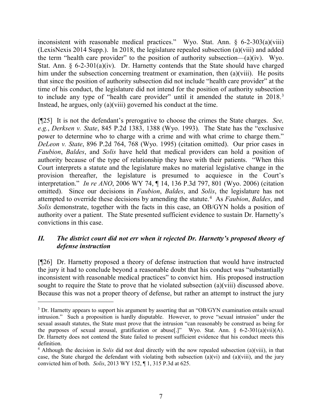inconsistent with reasonable medical practices." Wyo. Stat. Ann. § 6-2-303(a)(viii) (LexisNexis 2014 Supp.). In 2018, the legislature repealed subsection (a)(viii) and added the term "health care provider" to the position of authority subsection— $(a)(iv)$ . Wyo. Stat. Ann. § 6-2-301(a)(iv). Dr. Harnetty contends that the State should have charged him under the subsection concerning treatment or examination, then (a)(viii). He posits that since the position of authority subsection did not include "health care provider" at the time of his conduct, the legislature did not intend for the position of authority subsection to include any type of "health care provider" until it amended the statute in 2018.<sup>[3](#page-7-0)</sup> Instead, he argues, only (a)(viii) governed his conduct at the time.

[¶25] It is not the defendant's prerogative to choose the crimes the State charges. *See, e.g.*, *Derksen v. State*, 845 P.2d 1383, 1388 (Wyo. 1993). The State has the "exclusive power to determine who to charge with a crime and with what crime to charge them." *DeLeon v. State*, 896 P.2d 764, 768 (Wyo. 1995) (citation omitted). Our prior cases in *Faubion*, *Baldes*, and *Solis* have held that medical providers can hold a position of authority because of the type of relationship they have with their patients. "When this Court interprets a statute and the legislature makes no material legislative change in the provision thereafter, the legislature is presumed to acquiesce in the Court's interpretation." *In re ANO*, 2006 WY 74, ¶ 14, 136 P.3d 797, 801 (Wyo. 2006) (citation omitted). Since our decisions in *Faubion*, *Baldes*, and *Solis*, the legislature has not attempted to override these decisions by amending the statute.<sup>[4](#page-7-1)</sup> As *Faubion*, *Baldes*, and *Solis* demonstrate, together with the facts in this case, an OB/GYN holds a position of authority over a patient. The State presented sufficient evidence to sustain Dr. Harnetty's convictions in this case.

## *II. The district court did not err when it rejected Dr. Harnetty's proposed theory of defense instruction*

[¶26] Dr. Harnetty proposed a theory of defense instruction that would have instructed the jury it had to conclude beyond a reasonable doubt that his conduct was "substantially inconsistent with reasonable medical practices" to convict him. His proposed instruction sought to require the State to prove that he violated subsection (a)(viii) discussed above. Because this was not a proper theory of defense, but rather an attempt to instruct the jury

<span id="page-7-0"></span><sup>&</sup>lt;sup>3</sup> Dr. Harnetty appears to support his argument by asserting that an "OB/GYN examination entails sexual intrusion." Such a proposition is hardly disputable. However, to prove "sexual intrusion" under the sexual assault statutes, the State must prove that the intrusion "can reasonably be construed as being for the purposes of sexual arousal, gratification or abuse[.]" Wyo. Stat. Ann. § 6-2-301(a)(vii)(A). Dr. Harnetty does not contend the State failed to present sufficient evidence that his conduct meets this definition.

<span id="page-7-1"></span><sup>4</sup> Although the decision in *Solis* did not deal directly with the now repealed subsection (a)(viii), in that case, the State charged the defendant with violating both subsection (a)(vi) and (a)(viii), and the jury convicted him of both. *Solis*, 2013 WY 152, ¶ 1, 315 P.3d at 625.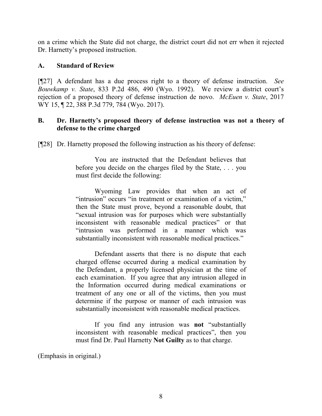on a crime which the State did not charge, the district court did not err when it rejected Dr. Harnetty's proposed instruction.

### **A. Standard of Review**

[¶27] A defendant has a due process right to a theory of defense instruction. *See Bouwkamp v. State*, 833 P.2d 486, 490 (Wyo. 1992). We review a district court's rejection of a proposed theory of defense instruction de novo. *McEuen v. State*, 2017 WY 15, 122, 388 P.3d 779, 784 (Wyo. 2017).

### **B. Dr. Harnetty's proposed theory of defense instruction was not a theory of defense to the crime charged**

[¶28] Dr. Harnetty proposed the following instruction as his theory of defense:

You are instructed that the Defendant believes that before you decide on the charges filed by the State, . . . you must first decide the following:

Wyoming Law provides that when an act of "intrusion" occurs "in treatment or examination of a victim," then the State must prove, beyond a reasonable doubt, that "sexual intrusion was for purposes which were substantially inconsistent with reasonable medical practices" or that "intrusion was performed in a manner which was substantially inconsistent with reasonable medical practices."

Defendant asserts that there is no dispute that each charged offense occurred during a medical examination by the Defendant, a properly licensed physician at the time of each examination. If you agree that any intrusion alleged in the Information occurred during medical examinations or treatment of any one or all of the victims, then you must determine if the purpose or manner of each intrusion was substantially inconsistent with reasonable medical practices.

If you find any intrusion was **not** "substantially inconsistent with reasonable medical practices", then you must find Dr. Paul Harnetty **Not Guilty** as to that charge.

(Emphasis in original.)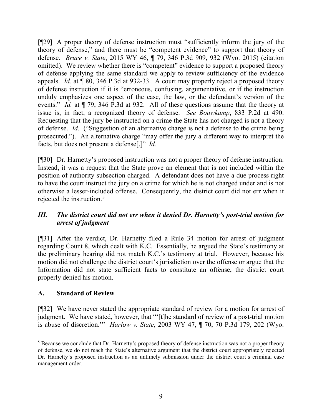[¶29] A proper theory of defense instruction must "sufficiently inform the jury of the theory of defense," and there must be "competent evidence" to support that theory of defense. *Bruce v. State*, 2015 WY 46, ¶ 79, 346 P.3d 909, 932 (Wyo. 2015) (citation omitted). We review whether there is "competent" evidence to support a proposed theory of defense applying the same standard we apply to review sufficiency of the evidence appeals. *Id.* at ¶ 80, 346 P.3d at 932-33. A court may properly reject a proposed theory of defense instruction if it is "erroneous, confusing, argumentative, or if the instruction unduly emphasizes one aspect of the case, the law, or the defendant's version of the events." *Id.* at ¶ 79, 346 P.3d at 932. All of these questions assume that the theory at issue is, in fact, a recognized theory of defense. *See Bouwkamp*, 833 P.2d at 490. Requesting that the jury be instructed on a crime the State has not charged is not a theory of defense. *Id.* ("Suggestion of an alternative charge is not a defense to the crime being prosecuted."). An alternative charge "may offer the jury a different way to interpret the facts, but does not present a defense[.]" *Id.*

[¶30] Dr. Harnetty's proposed instruction was not a proper theory of defense instruction. Instead, it was a request that the State prove an element that is not included within the position of authority subsection charged. A defendant does not have a due process right to have the court instruct the jury on a crime for which he is not charged under and is not otherwise a lesser-included offense. Consequently, the district court did not err when it rejected the instruction.<sup>[5](#page-9-0)</sup>

# *III. The district court did not err when it denied Dr. Harnetty's post-trial motion for arrest of judgment*

[¶31] After the verdict, Dr. Harnetty filed a Rule 34 motion for arrest of judgment regarding Count 8, which dealt with K.C. Essentially, he argued the State's testimony at the preliminary hearing did not match K.C.'s testimony at trial. However, because his motion did not challenge the district court's jurisdiction over the offense or argue that the Information did not state sufficient facts to constitute an offense, the district court properly denied his motion.

# **A. Standard of Review**

[¶32] We have never stated the appropriate standard of review for a motion for arrest of judgment. We have stated, however, that "'[t]he standard of review of a post-trial motion is abuse of discretion.'" *Harlow v. State*, 2003 WY 47, ¶ 70, 70 P.3d 179, 202 (Wyo.

<span id="page-9-0"></span> <sup>5</sup> Because we conclude that Dr. Harnetty's proposed theory of defense instruction was not a proper theory of defense, we do not reach the State's alternative argument that the district court appropriately rejected Dr. Harnetty's proposed instruction as an untimely submission under the district court's criminal case management order.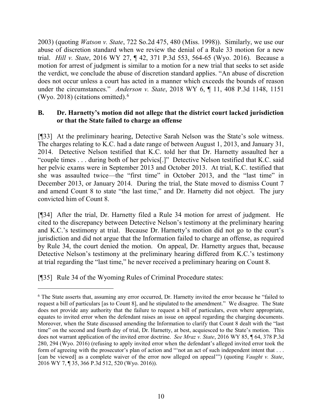2003) (quoting *Watson v. State*, 722 So.2d 475, 480 (Miss. 1998)). Similarly, we use our abuse of discretion standard when we review the denial of a Rule 33 motion for a new trial. *Hill v. State*, 2016 WY 27, ¶ 42, 371 P.3d 553, 564-65 (Wyo. 2016). Because a motion for arrest of judgment is similar to a motion for a new trial that seeks to set aside the verdict, we conclude the abuse of discretion standard applies. "An abuse of discretion does not occur unless a court has acted in a manner which exceeds the bounds of reason under the circumstances." *Anderson v. State*, 2018 WY 6, ¶ 11, 408 P.3d 1148, 1151 (Wyo. 2018) (citations omitted). $6$ 

### **B. Dr. Harnetty's motion did not allege that the district court lacked jurisdiction or that the State failed to charge an offense**

[¶33] At the preliminary hearing, Detective Sarah Nelson was the State's sole witness. The charges relating to K.C. had a date range of between August 1, 2013, and January 31, 2014. Detective Nelson testified that K.C. told her that Dr. Harnetty assaulted her a "couple times . . . during both of her pelvics[.]" Detective Nelson testified that K.C. said her pelvic exams were in September 2013 and October 2013. At trial, K.C. testified that she was assaulted twice—the "first time" in October 2013, and the "last time" in December 2013, or January 2014. During the trial, the State moved to dismiss Count 7 and amend Count 8 to state "the last time," and Dr. Harnetty did not object. The jury convicted him of Count 8.

[¶34] After the trial, Dr. Harnetty filed a Rule 34 motion for arrest of judgment. He cited to the discrepancy between Detective Nelson's testimony at the preliminary hearing and K.C.'s testimony at trial. Because Dr. Harnetty's motion did not go to the court's jurisdiction and did not argue that the Information failed to charge an offense, as required by Rule 34, the court denied the motion. On appeal, Dr. Harnetty argues that, because Detective Nelson's testimony at the preliminary hearing differed from K.C.'s testimony at trial regarding the "last time," he never received a preliminary hearing on Count 8.

[¶35] Rule 34 of the Wyoming Rules of Criminal Procedure states:

<span id="page-10-0"></span> <sup>6</sup> The State asserts that, assuming any error occurred, Dr. Harnetty invited the error because he "failed to request a bill of particulars [as to Count 8], and he stipulated to the amendment." We disagree. The State does not provide any authority that the failure to request a bill of particulars, even where appropriate, equates to invited error when the defendant raises an issue on appeal regarding the charging documents. Moreover, when the State discussed amending the Information to clarify that Count 8 dealt with the "last time" on the second and fourth day of trial, Dr. Harnetty, at best, acquiesced to the State's motion. This does not warrant application of the invited error doctrine. *See Mraz v. State*, 2016 WY 85, ¶ 64, 378 P.3d 280, 294 (Wyo. 2016) (refusing to apply invited error when the defendant's alleged invited error took the form of agreeing with the prosecutor's plan of action and "'not an act of such independent intent that . . . [can be viewed] as a complete waiver of the error now alleged on appeal'") (quoting *Vaught v. State*, 2016 WY 7, ¶ 35, 366 P.3d 512, 520 (Wyo. 2016)).